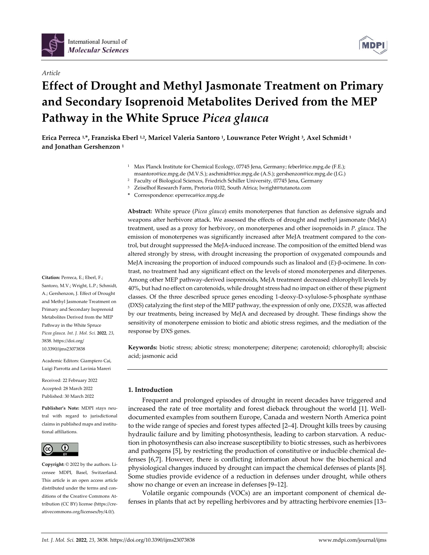

## *Article*

# **Effect of Drought and Methyl Jasmonate Treatment on Primary and Secondary Isoprenoid Metabolites Derived from the MEP Pathway in the White Spruce** *Picea glauca*

**Erica Perreca 1,\*, Franziska Eberl 1,2, Maricel Valeria Santoro 1, Louwrance Peter Wright 3, Axel Schmidt 1 and Jonathan Gershenzon 1**

- <sup>1</sup> Max Planck Institute for Chemical Ecology, 07745 Jena, Germany; feberl@ice.mpg.de (F.E.); msantoro@ice.mpg.de (M.V.S.); aschmidt@ice.mpg.de (A.S.); gershenzon@ice.mpg.de (J.G.)
- <sup>2</sup> Faculty of Biological Sciences, Friedrich Schiller University, 07745 Jena, Germany
- <sup>3</sup> Zeiselhof Research Farm, Pretoria 0102, South Africa; lwright@tutanota.com
- **\*** Correspondence: eperreca@ice.mpg.de

**Abstract:** White spruce (*Picea glauca*) emits monoterpenes that function as defensive signals and weapons after herbivore attack. We assessed the effects of drought and methyl jasmonate (MeJA) treatment, used as a proxy for herbivory, on monoterpenes and other isoprenoids in *P. glauca*. The emission of monoterpenes was significantly increased after MeJA treatment compared to the control, but drought suppressed the MeJA-induced increase. The composition of the emitted blend was altered strongly by stress, with drought increasing the proportion of oxygenated compounds and MeJA increasing the proportion of induced compounds such as linalool and (E)- $\beta$ -ocimene. In contrast, no treatment had any significant effect on the levels of stored monoterpenes and diterpenes. Among other MEP pathway-derived isoprenoids, MeJA treatment decreased chlorophyll levels by 40%, but had no effect on carotenoids, while drought stress had no impact on either of these pigment classes. Of the three described spruce genes encoding 1-deoxy-D-xylulose-5-phosphate synthase (DXS) catalyzing the first step of the MEP pathway, the expression of only one, *DXS2B*, was affected by our treatments, being increased by MeJA and decreased by drought. These findings show the sensitivity of monoterpene emission to biotic and abiotic stress regimes, and the mediation of the response by DXS genes.

**Keywords:** biotic stress; abiotic stress; monoterpene; diterpene; carotenoid; chlorophyll; abscisic acid; jasmonic acid

# **1. Introduction**

Frequent and prolonged episodes of drought in recent decades have triggered and increased the rate of tree mortality and forest dieback throughout the world [1]. Welldocumented examples from southern Europe, Canada and western North America point to the wide range of species and forest types affected [2–4]. Drought kills trees by causing hydraulic failure and by limiting photosynthesis, leading to carbon starvation. A reduction in photosynthesis can also increase susceptibility to biotic stresses, such as herbivores and pathogens [5], by restricting the production of constitutive or inducible chemical defenses [6,7]. However, there is conflicting information about how the biochemical and physiological changes induced by drought can impact the chemical defenses of plants [8]. Some studies provide evidence of a reduction in defenses under drought, while others show no change or even an increase in defenses [9–12].

Volatile organic compounds (VOCs) are an important component of chemical defenses in plants that act by repelling herbivores and by attracting herbivore enemies [13–

**Citation:** Perreca, E.; Eberl, F.; Santoro, M.V.; Wright, L.P.; Schmidt, A.; Gershenzon, J. Effect of Drought and Methyl Jasmonate Treatment on Primary and Secondary Isoprenoid Metabolites Derived from the MEP Pathway in the White Spruce *Picea glauca. Int. J. Mol. Sci.* **2022**, *23*, 3838. https://doi.org/ 10.3390/ijms23073838

Academic Editors: Giampiero Cai, Luigi Parrotta and Lavinia Mareri

Received: 22 February 2022 Accepted: 28 March 2022 Published: 30 March 2022

**Publisher's Note:** MDPI stays neutral with regard to jurisdictional claims in published maps and institutional affiliations.



**Copyright:** © 2022 by the authors. Licensee MDPI, Basel, Switzerland. This article is an open access article distributed under the terms and conditions of the Creative Commons Attribution (CC BY) license (https://creativecommons.org/licenses/by/4.0/).

**MDP**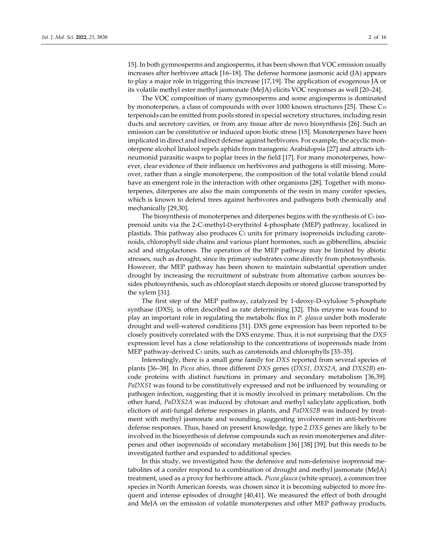The VOC composition of many gymnosperms and some angiosperms is dominated by monoterpenes, a class of compounds with over  $1000$  known structures [25]. These  $C_{10}$ terpenoids can be emitted from pools stored in special secretory structures, including resin ducts and secretory cavities, or from any tissue after de novo biosynthesis [26]. Such an emission can be constitutive or induced upon biotic stress [15]. Monoterpenes have been implicated in direct and indirect defense against herbivores. For example, the acyclic monoterpene alcohol linalool repels aphids from transgenic Arabidopsis [27] and attracts ichneumonid parasitic wasps to poplar trees in the field [17]. For many monoterpenes, however, clear evidence of their influence on herbivores and pathogens is still missing. Moreover, rather than a single monoterpene, the composition of the total volatile blend could have an emergent role in the interaction with other organisms [28]. Together with monoterpenes, diterpenes are also the main components of the resin in many conifer species, which is known to defend trees against herbivores and pathogens both chemically and mechanically [29,30].

The biosynthesis of monoterpenes and diterpenes begins with the synthesis of  $Cs$  isoprenoid units via the 2-C-methyl-D-erythritol 4-phosphate (MEP) pathway, localized in plastids. This pathway also produces C<sub>5</sub> units for primary isoprenoids including carotenoids, chlorophyll side chains and various plant hormones, such as gibberellins, abscisic acid and strigolactones. The operation of the MEP pathway may be limited by abiotic stresses, such as drought, since its primary substrates come directly from photosynthesis. However, the MEP pathway has been shown to maintain substantial operation under drought by increasing the recruitment of substrate from alternative carbon sources besides photosynthesis, such as chloroplast starch deposits or stored glucose transported by the xylem [31].

The first step of the MEP pathway, catalyzed by 1-deoxy-D-xylulose 5-phosphate synthase (DXS), is often described as rate determining [32]. This enzyme was found to play an important role in regulating the metabolic flux in *P. glauca* under both moderate drought and well-watered conditions [31]. DXS gene expression has been reported to be closely positively correlated with the DXS enzyme. Thus, it is not surprising that the *DXS* expression level has a close relationship to the concentrations of isoprenoids made from MEP pathway-derived C<sub>5</sub> units, such as carotenoids and chlorophylls [33–35].

Interestingly, there is a small gene family for *DXS* reported from several species of plants [36–38]. In *Picea abies*, three different *DXS* genes (*DXS1*, *DXS2A*, and *DXS2B*) encode proteins with distinct functions in primary and secondary metabolism [36,39]. *PaDXS1* was found to be constitutively expressed and not be influenced by wounding or pathogen infection, suggesting that it is mostly involved in primary metabolism. On the other hand, *PaDXS2A* was induced by chitosan and methyl salicylate application, both elicitors of anti-fungal defense responses in plants, and *PaDXS2B* was induced by treatment with methyl jasmonate and wounding, suggesting involvement in anti-herbivore defense responses. Thus, based on present knowledge, type 2 *DXS* genes are likely to be involved in the biosynthesis of defense compounds such as resin monoterpenes and diterpenes and other isoprenoids of secondary metabolism [36] [38] [39], but this needs to be investigated further and expanded to additional species.

In this study, we investigated how the defensive and non-defensive isoprenoid metabolites of a conifer respond to a combination of drought and methyl jasmonate (MeJA) treatment, used as a proxy for herbivore attack. *Picea glauca* (white spruce), a common tree species in North American forests, was chosen since it is becoming subjected to more frequent and intense episodes of drought [40,41]. We measured the effect of both drought and MeJA on the emission of volatile monoterpenes and other MEP pathway products,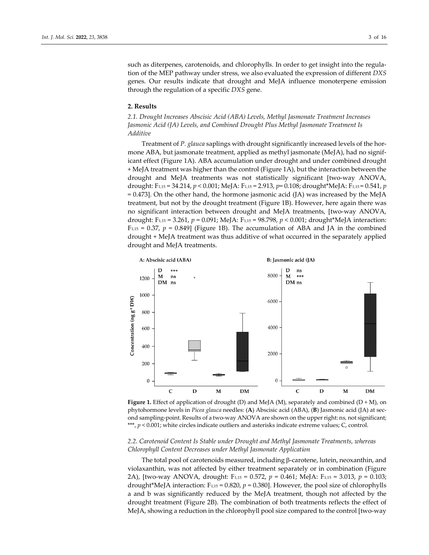such as diterpenes, carotenoids, and chlorophylls. In order to get insight into the regulation of the MEP pathway under stress, we also evaluated the expression of different *DXS* genes. Our results indicate that drought and MeJA influence monoterpene emission through the regulation of a specific *DXS* gene.

## **2. Results**

# *2.1. Drought Increases Abscisic Acid (ABA) Levels, Methyl Jasmonate Treatment Increases Jasmonic Acid (JA) Levels, and Combined Drought Plus Methyl Jasmonate Treatment Is Additive*

Treatment of *P. glauca* saplings with drought significantly increased levels of the hormone ABA, but jasmonate treatment, applied as methyl jasmonate (MeJA), had no significant effect (Figure 1A). ABA accumulation under drought and under combined drought + MeJA treatment was higher than the control (Figure 1A), but the interaction between the drought and MeJA treatments was not statistically significant [two-way ANOVA, drought: F1,15 = 34.214, *p* < 0.001; MeJA: F1,15 = 2.913, *p*= 0.108; drought\*MeJA: F1,15 = 0.541, *p*  $= 0.473$ . On the other hand, the hormone jasmonic acid (JA) was increased by the MeJA treatment, but not by the drought treatment (Figure 1B). However, here again there was no significant interaction between drought and MeJA treatments, [two-way ANOVA, drought: F1,15 = 3.261, *p* = 0.091; MeJA: F1,15 = 98.798, *p* < 0.001; drought\*MeJA interaction:  $F<sub>1,15</sub> = 0.37, p = 0.849$  (Figure 1B). The accumulation of ABA and JA in the combined drought + MeJA treatment was thus additive of what occurred in the separately applied drought and MeJA treatments.



**Figure 1.** Effect of application of drought (D) and MeJA (M), separately and combined (D + M), on phytohormone levels in *Picea glauca* needles: (**A**) Abscisic acid (ABA), (**B**) Jasmonic acid (JA) at second sampling-point. Results of a two-way ANOVA are shown on the upper right: ns*,* not significant; \*\*\*, *p* < 0.001; white circles indicate outliers and asterisks indicate extreme values; C, control.

# *2.2. Carotenoid Content Is Stable under Drought and Methyl Jasmonate Treatments, whereas Chlorophyll Content Decreases under Methyl Jasmonate Application*

The total pool of carotenoids measured, including  $\beta$ -carotene, lutein, neoxanthin, and violaxanthin, was not affected by either treatment separately or in combination (Figure 2A), [two-way ANOVA, drought: F1,15 = 0.572, *p* = 0.461; MeJA: F1,15 = 3.013, *p* = 0.103; drought\*MeJA interaction: F1,15 = 0.820, *p* = 0.380]. However, the pool size of chlorophylls a and b was significantly reduced by the MeJA treatment, though not affected by the drought treatment (Figure 2B). The combination of both treatments reflects the effect of MeJA, showing a reduction in the chlorophyll pool size compared to the control [two-way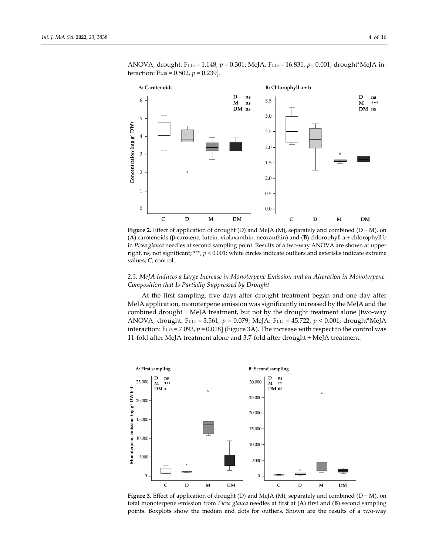

ANOVA, drought: F1,15 = 1.148, *p* = 0.301; MeJA: F1,15 = 16.831, *p*= 0.001; drought\*MeJA interaction:  $F_{1,15} = 0.502$ ,  $p = 0.239$ ].

**Figure 2.** Effect of application of drought (D) and MeJA (M), separately and combined (D + M), on (A) carotenoids ( $\beta$ -carotene, lutein, violaxanthin, neoxanthin) and (B) chlorophyll a + chlorophyll b in *Picea glauca* needles at second sampling point. Results of a two-way ANOVA are shown at upper right. ns*,* not significant; \*\*\*, *p* < 0.001; white circles indicate outliers and asterisks indicate extreme values; C, control**.**

# *2.3. MeJA Induces a Large Increase in Monoterpene Emission and an Alteration in Monoterpene Composition that Is Partially Suppressed by Drought*

At the first sampling, five days after drought treatment began and one day after MeJA application, monoterpene emission was significantly increased by the MeJA and the combined drought + MeJA treatment, but not by the drought treatment alone [two-way ANOVA, drought: F1,15 = 3.561, *p* = 0.079; MeJA: F1,15 = 45.722, *p* < 0.001; drought\*MeJA interaction:  $F_{1,15} = 7.093$ ,  $p = 0.018$  (Figure 3A). The increase with respect to the control was 11-fold after MeJA treatment alone and 3.7-fold after drought + MeJA treatment.



**Figure 3.** Effect of application of drought (D) and MeJA (M), separately and combined (D + M), on total monoterpene emission from *Picea glauca* needles at first at (**A**) first and (**B**) second sampling points. Boxplots show the median and dots for outliers. Shown are the results of a two-way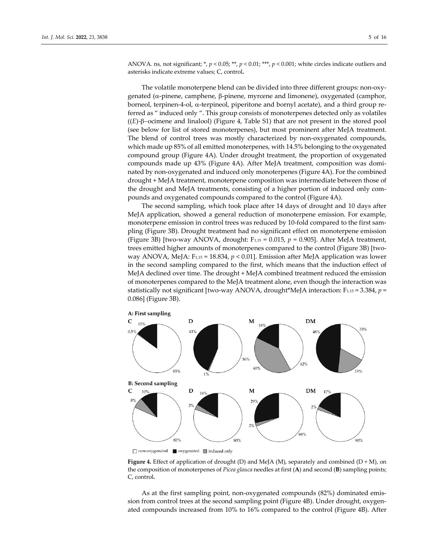ANOVA. ns, not significant; \*,  $p < 0.05$ ; \*\*,  $p < 0.01$ ; \*\*\*,  $p < 0.001$ ; white circles indicate outliers and asterisks indicate extreme values; C, control**.**

The volatile monoterpene blend can be divided into three different groups: non-oxygenated ( $\alpha$ -pinene, camphene,  $\beta$ -pinene, myrcene and limonene), oxygenated (camphor, borneol, terpinen-4-ol,  $\alpha$ -terpineol, piperitone and bornyl acetate), and a third group referred as " induced only ". This group consists of monoterpenes detected only as volatiles  $((E)-\beta$ -ocimene and linalool) (Figure 4, Table S1) that are not present in the stored pool (see below for list of stored monoterpenes), but most prominent after MeJA treatment. The blend of control trees was mostly characterized by non-oxygenated compounds, which made up 85% of all emitted monoterpenes, with 14.5% belonging to the oxygenated compound group (Figure 4A). Under drought treatment, the proportion of oxygenated compounds made up 43% (Figure 4A). After MeJA treatment, composition was dominated by non-oxygenated and induced only monoterpenes (Figure 4A). For the combined drought + MeJA treatment, monoterpene composition was intermediate between those of the drought and MeJA treatments, consisting of a higher portion of induced only compounds and oxygenated compounds compared to the control (Figure 4A).

The second sampling, which took place after 14 days of drought and 10 days after MeJA application, showed a general reduction of monoterpene emission. For example, monoterpene emission in control trees was reduced by 10-fold compared to the first sampling (Figure 3B). Drought treatment had no significant effect on monoterpene emission (Figure 3B) [two-way ANOVA, drought:  $F_{1,15} = 0.015$ ,  $p = 0.905$ ]. After MeJA treatment, trees emitted higher amounts of monoterpenes compared to the control (Figure 3B) [twoway ANOVA, MeJA: F1,15 = 18.834, *p* < 0.01]. Emission after MeJA application was lower in the second sampling compared to the first, which means that the induction effect of MeJA declined over time. The drought + MeJA combined treatment reduced the emission of monoterpenes compared to the MeJA treatment alone, even though the interaction was statistically not significant [two-way ANOVA, drought\*MeJA interaction:  $F_{1,15} = 3.384$ ,  $p =$ 0.086] (Figure 3B).



□ non-oxygenated ■ oxygenated ■ induced only

**Figure 4.** Effect of application of drought (D) and MeJA (M), separately and combined (D + M), on the composition of monoterpenes of *Picea glauca* needles at first (**A**) and second (**B**) sampling points; C, control**.**

As at the first sampling point, non-oxygenated compounds (82%) dominated emission from control trees at the second sampling point (Figure 4B). Under drought, oxygenated compounds increased from 10% to 16% compared to the control (Figure 4B). After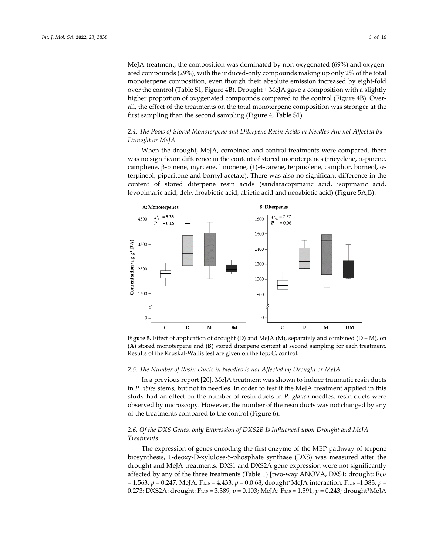MeJA treatment, the composition was dominated by non-oxygenated (69%) and oxygenated compounds (29%), with the induced-only compounds making up only 2% of the total monoterpene composition, even though their absolute emission increased by eight-fold over the control (Table S1, Figure 4B). Drought + MeJA gave a composition with a slightly higher proportion of oxygenated compounds compared to the control (Figure 4B). Overall, the effect of the treatments on the total monoterpene composition was stronger at the first sampling than the second sampling (Figure 4, Table S1).

# *2.4. The Pools of Stored Monoterpene and Diterpene Resin Acids in Needles Are not Affected by Drought or MeJA*

When the drought, MeJA, combined and control treatments were compared, there was no significant difference in the content of stored monoterpenes (tricyclene,  $\alpha$ -pinene, camphene,  $\beta$ -pinene, myrcene, limonene, (+)-4-carene, terpinolene, camphor, borneol,  $\alpha$ terpineol, piperitone and bornyl acetate). There was also no significant difference in the content of stored diterpene resin acids (sandaracopimaric acid, isopimaric acid, levopimaric acid, dehydroabietic acid, abietic acid and neoabietic acid) (Figure 5A,B).





## *2.5. The Number of Resin Ducts in Needles Is not Affected by Drought or MeJA*

In a previous report [20], MeJA treatment was shown to induce traumatic resin ducts in *P. abies* stems, but not in needles. In order to test if the MeJA treatment applied in this study had an effect on the number of resin ducts in *P. glauca* needles, resin ducts were observed by microscopy. However, the number of the resin ducts was not changed by any of the treatments compared to the control (Figure 6).

# *2.6. Of the DXS Genes, only Expression of DXS2B Is Influenced upon Drought and MeJA Treatments*

The expression of genes encoding the first enzyme of the MEP pathway of terpene biosynthesis, 1-deoxy-D-xylulose-5-phosphate synthase (DXS) was measured after the drought and MeJA treatments. DXS1 and DXS2A gene expression were not significantly affected by any of the three treatments (Table 1) [two-way ANOVA, DXS1: drought: F1,15 = 1.563, *p* = 0.247; MeJA: F1,15 = 4,433, *p* = 0.0.68; drought\*MeJA interaction: F1,15 =1.383, *p* = 0.273; DXS2A: drought: F1,15 = 3.389, *p* = 0.103; MeJA: F1,15 = 1.591, *p* = 0.243; drought\*MeJA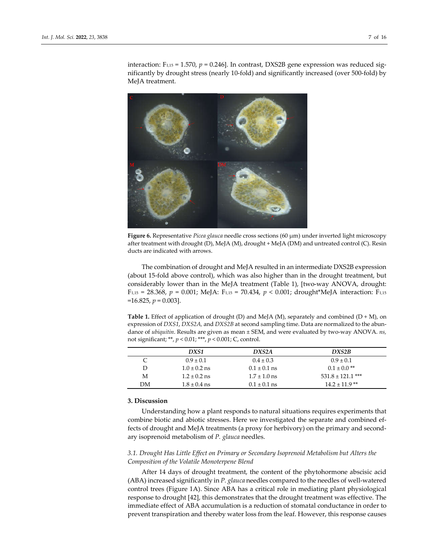interaction:  $F_{1,15} = 1.570$ ,  $p = 0.246$ ]. In contrast, DXS2B gene expression was reduced significantly by drought stress (nearly 10-fold) and significantly increased (over 500-fold) by MeJA treatment.



**Figure 6.** Representative *Picea glauca* needle cross sections (60 µm) under inverted light microscopy after treatment with drought (D), MeJA (M), drought + MeJA (DM) and untreated control (C). Resin ducts are indicated with arrows.

The combination of drought and MeJA resulted in an intermediate DXS2B expression (about 15-fold above control), which was also higher than in the drought treatment, but considerably lower than in the MeJA treatment (Table 1), [two-way ANOVA, drought: F1,15 = 28.368, *p* = 0.001; MeJA: F1,15 = 70.434, *p* < 0.001; drought\*MeJA interaction: F1,15  $=16.825, p=0.003$ .

**Table 1.** Effect of application of drought (D) and MeJA (M), separately and combined (D + M), on expression of *DXS1*, *DXS2A,* and *DXS2B* at second sampling time. Data are normalized to the abundance of *ubiquitin*. Results are given as mean ± SEM, and were evaluated by two-way ANOVA. *ns,* not significant; \*\*, *p* < 0.01; \*\*\*, *p* < 0.001; C, control.

|    | DXS1             | DXS <sub>2</sub> A | DXS2B                 |
|----|------------------|--------------------|-----------------------|
|    | $0.9 \pm 0.1$    | $0.4 \pm 0.3$      | $0.9 \pm 0.1$         |
| D  | $1.0 \pm 0.2$ ns | $0.1 \pm 0.1$ ns   | $0.1 \pm 0.0$ **      |
| М  | $1.2 \pm 0.2$ ns | $1.7 \pm 1.0$ ns   | $531.8 \pm 121.1$ *** |
| DМ | $1.8 \pm 0.4$ ns | $0.1 \pm 0.1$ ns   | $14.2 \pm 11.9$ **    |

# **3. Discussion**

Understanding how a plant responds to natural situations requires experiments that combine biotic and abiotic stresses. Here we investigated the separate and combined effects of drought and MeJA treatments (a proxy for herbivory) on the primary and secondary isoprenoid metabolism of *P. glauca* needles.

# *3.1. Drought Has Little Effect on Primary or Secondary Isoprenoid Metabolism but Alters the Composition of the Volatile Monoterpene Blend*

After 14 days of drought treatment, the content of the phytohormone abscisic acid (ABA) increased significantly in *P. glauca* needles compared to the needles of well-watered control trees (Figure 1A). Since ABA has a critical role in mediating plant physiological response to drought [42], this demonstrates that the drought treatment was effective. The immediate effect of ABA accumulation is a reduction of stomatal conductance in order to prevent transpiration and thereby water loss from the leaf. However, this response causes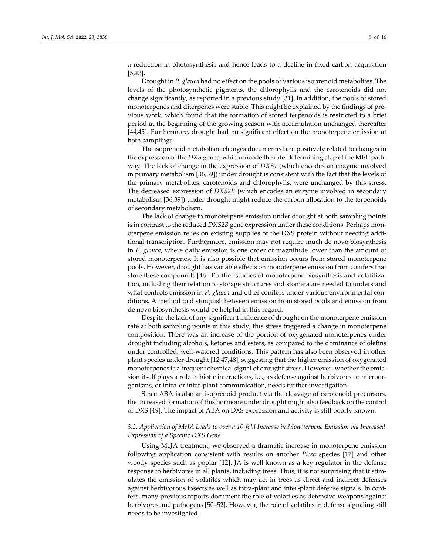a reduction in photosynthesis and hence leads to a decline in fixed carbon acquisition [5,43].

Drought in *P. glauca* had no effect on the pools of various isoprenoid metabolites. The levels of the photosynthetic pigments, the chlorophylls and the carotenoids did not change significantly, as reported in a previous study [31]. In addition, the pools of stored monoterpenes and diterpenes were stable. This might be explained by the findings of previous work, which found that the formation of stored terpenoids is restricted to a brief period at the beginning of the growing season with accumulation unchanged thereafter [44,45]. Furthermore, drought had no significant effect on the monoterpene emission at both samplings.

The isoprenoid metabolism changes documented are positively related to changes in the expression of the *DXS* genes, which encode the rate-determining step of the MEP pathway. The lack of change in the expression of *DXS1* (which encodes an enzyme involved in primary metabolism [36,39]) under drought is consistent with the fact that the levels of the primary metabolites, carotenoids and chlorophylls, were unchanged by this stress. The decreased expression of *DXS2B* (which encodes an enzyme involved in secondary metabolism [36,39]) under drought might reduce the carbon allocation to the terpenoids of secondary metabolism.

The lack of change in monoterpene emission under drought at both sampling points is in contrast to the reduced *DXS2B* gene expression under these conditions. Perhaps monoterpene emission relies on existing supplies of the DXS protein without needing additional transcription. Furthermore, emission may not require much de novo biosynthesis in *P. glauca*, where daily emission is one order of magnitude lower than the amount of stored monoterpenes. It is also possible that emission occurs from stored monoterpene pools. However, drought has variable effects on monoterpene emission from conifers that store these compounds [46]. Further studies of monoterpene biosynthesis and volatilization, including their relation to storage structures and stomata are needed to understand what controls emission in *P. glauca* and other conifers under various environmental conditions. A method to distinguish between emission from stored pools and emission from de novo biosynthesis would be helpful in this regard.

Despite the lack of any significant influence of drought on the monoterpene emission rate at both sampling points in this study, this stress triggered a change in monoterpene composition. There was an increase of the portion of oxygenated monoterpenes under drought including alcohols, ketones and esters, as compared to the dominance of olefins under controlled, well-watered conditions. This pattern has also been observed in other plant species under drought [12,47,48], suggesting that the higher emission of oxygenated monoterpenes is a frequent chemical signal of drought stress. However, whether the emission itself plays a role in biotic interactions, i.e., as defense against herbivores or microorganisms, or intra-or inter-plant communication, needs further investigation.

Since ABA is also an isoprenoid product via the cleavage of carotenoid precursors, the increased formation of this hormone under drought might also feedback on the control of DXS [49]. The impact of ABA on DXS expression and activity is still poorly known.

# *3.2. Application of MeJA Leads to over a 10-fold Increase in Monoterpene Emission via Increased Expression of a Specific DXS Gene*

Using MeJA treatment, we observed a dramatic increase in monoterpene emission following application consistent with results on another *Picea* species [17] and other woody species such as poplar [12]. JA is well known as a key regulator in the defense response to herbivores in all plants, including trees. Thus, it is not surprising that it stimulates the emission of volatiles which may act in trees as direct and indirect defenses against herbivorous insects as well as intra-plant and inter-plant defense signals. In conifers, many previous reports document the role of volatiles as defensive weapons against herbivores and pathogens [50–52]. However, the role of volatiles in defense signaling still needs to be investigated.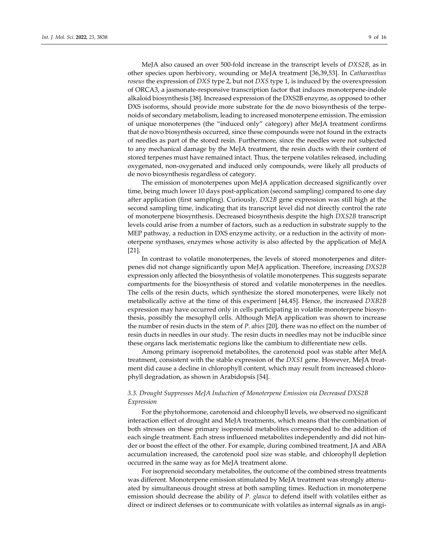MeJA also caused an over 500-fold increase in the transcript levels of *DXS2B*, as in other species upon herbivory, wounding or MeJA treatment [36,39,53]. In *Catharanthus roseus* the expression of *DXS* type 2, but not *DXS* type 1, is induced by the overexpression of ORCA3, a jasmonate-responsive transcription factor that induces monoterpene-indole alkaloid biosynthesis [38]. Increased expression of the DXS2B enzyme, as opposed to other DXS isoforms, should provide more substrate for the de novo biosynthesis of the terpenoids of secondary metabolism, leading to increased monoterpene emission. The emission of unique monoterpenes (the "induced only" category) after MeJA treatment confirms that de novo biosynthesis occurred, since these compounds were not found in the extracts of needles as part of the stored resin. Furthermore, since the needles were not subjected to any mechanical damage by the MeJA treatment, the resin ducts with their content of stored terpenes must have remained intact. Thus, the terpene volatiles released, including oxygenated, non-oxygenated and induced only compounds, were likely all products of de novo biosynthesis regardless of category.

The emission of monoterpenes upon MeJA application decreased significantly over time, being much lower 10 days post-application (second sampling) compared to one day after application (first sampling). Curiously, *DX2B* gene expression was still high at the second sampling time, indicating that its transcript level did not directly control the rate of monoterpene biosynthesis. Decreased biosynthesis despite the high *DXS2B* transcript levels could arise from a number of factors, such as a reduction in substrate supply to the MEP pathway, a reduction in DXS enzyme activity, or a reduction in the activity of monoterpene synthases, enzymes whose activity is also affected by the application of MeJA [21].

In contrast to volatile monoterpenes, the levels of stored monoterpenes and diterpenes did not change significantly upon MeJA application. Therefore, increasing *DXS2B* expression only affected the biosynthesis of volatile monoterpenes. This suggests separate compartments for the biosynthesis of stored and volatile monoterpenes in the needles. The cells of the resin ducts, which synthesize the stored monoterpenes, were likely not metabolically active at the time of this experiment [44,45]. Hence, the increased *DXB2B* expression may have occurred only in cells participating in volatile monoterpene biosynthesis, possibly the mesophyll cells. Although MeJA application was shown to increase the number of resin ducts in the stem of *P. abies* [20], there was no effect on the number of resin ducts in needles in our study. The resin ducts in needles may not be inducible since these organs lack meristematic regions like the cambium to differentiate new cells.

Among primary isoprenoid metabolites, the carotenoid pool was stable after MeJA treatment, consistent with the stable expression of the *DXS1* gene. However, MeJA treatment did cause a decline in chlorophyll content, which may result from increased chlorophyll degradation, as shown in Arabidopsis [54].

# *3.3. Drought Suppresses MeJA Induction of Monoterpene Emission via Decreased DXS2B Expression*

For the phytohormone, carotenoid and chlorophyll levels, we observed no significant interaction effect of drought and MeJA treatments, which means that the combination of both stresses on these primary isoprenoid metabolites corresponded to the addition of each single treatment. Each stress influenced metabolites independently and did not hinder or boost the effect of the other. For example, during combined treatment, JA and ABA accumulation increased, the carotenoid pool size was stable, and chlorophyll depletion occurred in the same way as for MeJA treatment alone.

For isoprenoid secondary metabolites, the outcome of the combined stress treatments was different. Monoterpene emission stimulated by MeJA treatment was strongly attenuated by simultaneous drought stress at both sampling times. Reduction in monoterpene emission should decrease the ability of *P. glauca* to defend itself with volatiles either as direct or indirect defenses or to communicate with volatiles as internal signals as in angi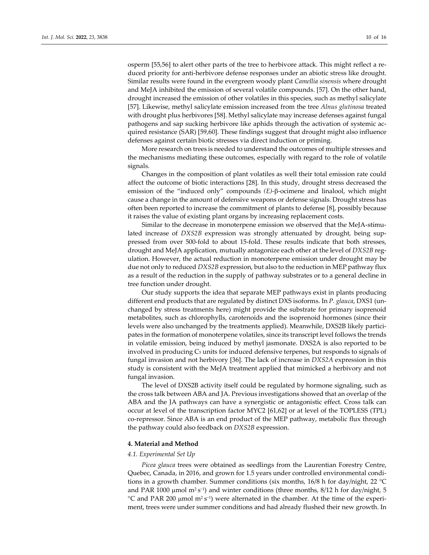osperm [55,56] to alert other parts of the tree to herbivore attack. This might reflect a reduced priority for anti-herbivore defense responses under an abiotic stress like drought. Similar results were found in the evergreen woody plant *Camellia sinensis* where drought and MeJA inhibited the emission of several volatile compounds. [57]. On the other hand, drought increased the emission of other volatiles in this species, such as methyl salicylate [57]. Likewise, methyl salicylate emission increased from the tree *Alnus glutinosa* treated with drought plus herbivores [58]. Methyl salicylate may increase defenses against fungal pathogens and sap sucking herbivore like aphids through the activation of systemic acquired resistance (SAR) [59,60]. These findings suggest that drought might also influence defenses against certain biotic stresses via direct induction or priming.

More research on trees is needed to understand the outcomes of multiple stresses and the mechanisms mediating these outcomes, especially with regard to the role of volatile signals.

Changes in the composition of plant volatiles as well their total emission rate could affect the outcome of biotic interactions [28]. In this study, drought stress decreased the emission of the "induced only" compounds (*E*)-β-ocimene and linalool, which might cause a change in the amount of defensive weapons or defense signals. Drought stress has often been reported to increase the commitment of plants to defense [8], possibly because it raises the value of existing plant organs by increasing replacement costs.

Similar to the decrease in monoterpene emission we observed that the MeJA-stimulated increase of *DXS2B* expression was strongly attenuated by drought, being suppressed from over 500-fold to about 15-fold. These results indicate that both stresses, drought and MeJA application, mutually antagonize each other at the level of *DXS2B* regulation. However, the actual reduction in monoterpene emission under drought may be due not only to reduced *DXS2B* expression, but also to the reduction in MEP pathway flux as a result of the reduction in the supply of pathway substrates or to a general decline in tree function under drought.

Our study supports the idea that separate MEP pathways exist in plants producing different end products that are regulated by distinct DXS isoforms. In *P. glauca*, DXS1 (unchanged by stress treatments here) might provide the substrate for primary isoprenoid metabolites, such as chlorophylls, carotenoids and the isoprenoid hormones (since their levels were also unchanged by the treatments applied). Meanwhile, DXS2B likely participates in the formation of monoterpene volatiles, since its transcript level follows the trends in volatile emission, being induced by methyl jasmonate. DXS2A is also reported to be involved in producing C<sub>5</sub> units for induced defensive terpenes, but responds to signals of fungal invasion and not herbivory [36]. The lack of increase in *DXS2A* expression in this study is consistent with the MeJA treatment applied that mimicked a herbivory and not fungal invasion.

The level of DXS2B activity itself could be regulated by hormone signaling, such as the cross talk between ABA and JA. Previous investigations showed that an overlap of the ABA and the JA pathways can have a synergistic or antagonistic effect. Cross talk can occur at level of the transcription factor MYC2 [61,62] or at level of the TOPLESS (TPL) co-repressor. Since ABA is an end product of the MEP pathway, metabolic flux through the pathway could also feedback on *DXS2B* expression.

#### **4. Material and Method**

#### *4.1. Experimental Set Up*

*Picea glauca* trees were obtained as seedlings from the Laurentian Forestry Centre, Quebec, Canada, in 2016, and grown for 1.5 years under controlled environmental conditions in a growth chamber. Summer conditions (six months, 16/8 h for day/night, 22 °C and PAR 1000 µmol m<sup>2</sup> s<sup>-1</sup>) and winter conditions (three months, 8/12 h for day/night, 5 °C and PAR 200 µmol m<sup>2</sup> s<sup>−1</sup>) were alternated in the chamber. At the time of the experiment, trees were under summer conditions and had already flushed their new growth. In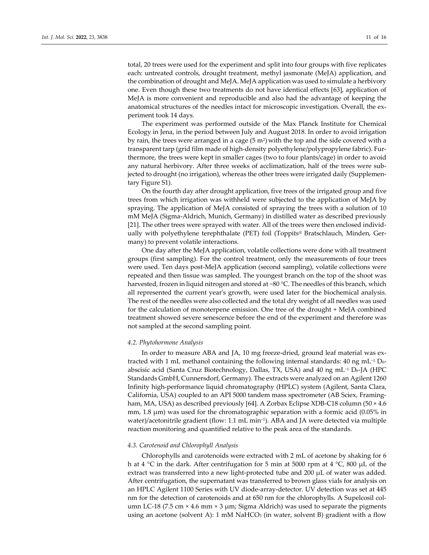total, 20 trees were used for the experiment and split into four groups with five replicates each: untreated controls, drought treatment, methyl jasmonate (MeJA) application, and the combination of drought and MeJA. MeJA application was used to simulate a herbivory one. Even though these two treatments do not have identical effects [63], application of MeJA is more convenient and reproducible and also had the advantage of keeping the anatomical structures of the needles intact for microscopic investigation. Overall, the experiment took 14 days.

The experiment was performed outside of the Max Planck Institute for Chemical Ecology in Jena, in the period between July and August 2018. In order to avoid irrigation by rain, the trees were arranged in a cage  $(5 \text{ m}^2)$  with the top and the side covered with a transparent tarp (grid film made of high-density polyethylene/polypropylene fabric). Furthermore, the trees were kept in smaller cages (two to four plants/cage) in order to avoid any natural herbivory. After three weeks of acclimatization, half of the trees were subjected to drought (no irrigation), whereas the other trees were irrigated daily (Supplementary Figure S1).

On the fourth day after drought application, five trees of the irrigated group and five trees from which irrigation was withheld were subjected to the application of MeJA by spraying. The application of MeJA consisted of spraying the trees with a solution of 10 mM MeJA (Sigma-Aldrich, Munich, Germany) in distilled water as described previously [21]. The other trees were sprayed with water. All of the trees were then enclosed individually with polyethylene terephthalate (PET) foil (Toppits® Bratschlauch, Minden, Germany) to prevent volatile interactions.

One day after the MeJA application, volatile collections were done with all treatment groups (first sampling). For the control treatment, only the measurements of four trees were used. Ten days post-MeJA application (second sampling), volatile collections were repeated and then tissue was sampled. The youngest branch on the top of the shoot was harvested, frozen in liquid nitrogen and stored at −80 °C. The needles of this branch, which all represented the current year's growth, were used later for the biochemical analysis. The rest of the needles were also collected and the total dry weight of all needles was used for the calculation of monoterpene emission. One tree of the drought + MeJA combined treatment showed severe senescence before the end of the experiment and therefore was not sampled at the second sampling point.

## *4.2. Phytohormone Analysis*

In order to measure ABA and JA, 10 mg freeze-dried, ground leaf material was extracted with 1 mL methanol containing the following internal standards: 40 ng mL<sup>-1</sup> D<sub>6</sub>abscisic acid (Santa Cruz Biotechnology, Dallas, TX, USA) and 40 ng mL−1 D6-JA (HPC Standards GmbH, Cunnersdorf, Germany). The extracts were analyzed on an Agilent 1260 Infinity high-performance liquid chromatography (HPLC) system (Agilent, Santa Clara, California, USA) coupled to an API 5000 tandem mass spectrometer (AB Sciex, Framingham, MA, USA) as described previously [64]. A Zorbax Eclipse XDB-C18 column (50 × 4.6 mm,  $1.8 \mu m$ ) was used for the chromatographic separation with a formic acid  $(0.05\%$  in water)/acetonitrile gradient (flow: 1.1 mL min−1). ABA and JA were detected via multiple reaction monitoring and quantified relative to the peak area of the standards.

#### *4.3. Carotenoid and Chlorophyll Analysis*

Chlorophylls and carotenoids were extracted with 2 mL of acetone by shaking for 6 h at 4 °C in the dark. After centrifugation for 5 min at 5000 rpm at 4 °C, 800 µL of the extract was transferred into a new light-protected tube and 200 µL of water was added. After centrifugation, the supernatant was transferred to brown glass vials for analysis on an HPLC Agilent 1100 Series with UV diode-array-detector. UV detection was set at 445 nm for the detection of carotenoids and at 650 nm for the chlorophylls. A Supelcosil column LC-18 (7.5 cm  $\times$  4.6 mm  $\times$  3 µm; Sigma Aldrich) was used to separate the pigments using an acetone (solvent A): 1 mM NaHCO3 (in water, solvent B) gradient with a flow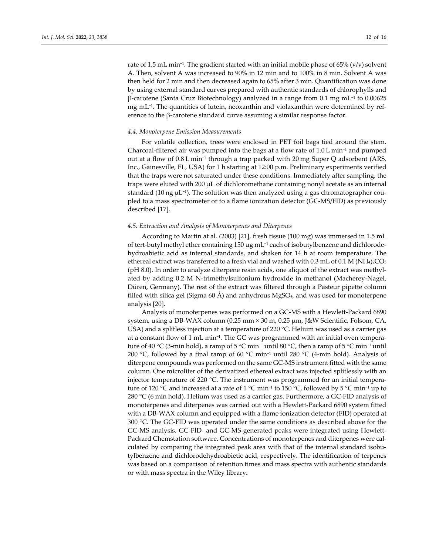rate of 1.5 mL min−1. The gradient started with an initial mobile phase of 65% (v/v) solvent A. Then, solvent A was increased to 90% in 12 min and to 100% in 8 min. Solvent A was then held for 2 min and then decreased again to 65% after 3 min. Quantification was done by using external standard curves prepared with authentic standards of chlorophylls and β-carotene (Santa Cruz Biotechnology) analyzed in a range from 0.1 mg mL−1 to 0.00625 mg mL−1. The quantities of lutein, neoxanthin and violaxanthin were determined by reference to the β-carotene standard curve assuming a similar response factor.

## *4.4. Monoterpene Emission Measurements*

For volatile collection, trees were enclosed in PET foil bags tied around the stem. Charcoal-filtered air was pumped into the bags at a flow rate of 1.0 L min−1 and pumped out at a flow of 0.8 L min−1 through a trap packed with 20 mg Super Q adsorbent (ARS, Inc., Gainesville, FL, USA) for 1 h starting at 12:00 p.m. Preliminary experiments verified that the traps were not saturated under these conditions. Immediately after sampling, the traps were eluted with 200 µL of dichloromethane containing nonyl acetate as an internal standard (10 ng μL<sup>-1</sup>). The solution was then analyzed using a gas chromatographer coupled to a mass spectrometer or to a flame ionization detector (GC-MS/FID) as previously described [17].

## *4.5. Extraction and Analysis of Monoterpenes and Diterpenes*

According to Martin at al. *(*2003) [21], fresh tissue (100 mg) was immersed in 1.5 mL of tert-butyl methyl ether containing 150 µg mL−1 each of isobutylbenzene and dichlorodehydroabietic acid as internal standards, and shaken for 14 h at room temperature. The ethereal extract was transferred to a fresh vial and washed with  $0.3$  mL of  $0.1$  M (NH<sub>4</sub>)<sub>2</sub>CO<sub>3</sub> (pH 8.0). In order to analyze diterpene resin acids, one aliquot of the extract was methylated by adding 0.2 M N-trimethylsulfonium hydroxide in methanol (Macherey-Nagel, Düren, Germany). The rest of the extract was filtered through a Pasteur pipette column filled with silica gel (Sigma 60 Å) and anhydrous MgSO<sub>4</sub>, and was used for monoterpene analysis [20].

Analysis of monoterpenes was performed on a GC-MS with a Hewlett-Packard 6890 system, using a DB-WAX column (0.25 mm × 30 m, 0.25 µm, J&W Scientific, Folsom, CA, USA) and a splitless injection at a temperature of 220 °C. Helium was used as a carrier gas at a constant flow of 1 mL min−1. The GC was programmed with an initial oven temperature of 40 °C (3-min hold), a ramp of 5 °C min−1 until 80 °C, then a ramp of 5 °C min−1 until 200 °C, followed by a final ramp of 60 °C min−1 until 280 °C (4-min hold). Analysis of diterpene compounds was performed on the same GC-MS instrument fitted with the same column. One microliter of the derivatized ethereal extract was injected splitlessly with an injector temperature of 220 °C. The instrument was programmed for an initial temperature of 120 °C and increased at a rate of 1 °C min−1 to 150 °C, followed by 5 °C min−1 up to 280 °C (6 min hold). Helium was used as a carrier gas. Furthermore, a GC-FID analysis of monoterpenes and diterpenes was carried out with a Hewlett-Packard 6890 system fitted with a DB-WAX column and equipped with a flame ionization detector (FID) operated at 300 °C. The GC-FID was operated under the same conditions as described above for the GC-MS analysis. GC-FID- and GC-MS-generated peaks were integrated using Hewlett-Packard Chemstation software. Concentrations of monoterpenes and diterpenes were calculated by comparing the integrated peak area with that of the internal standard isobutylbenzene and dichlorodehydroabietic acid, respectively. The identification of terpenes was based on a comparison of retention times and mass spectra with authentic standards or with mass spectra in the Wiley library**.**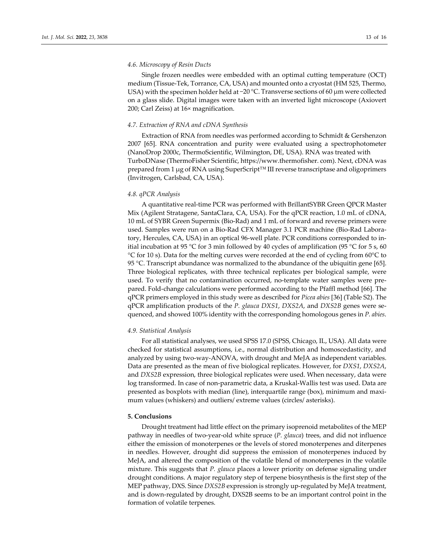## *4.6. Microscopy of Resin Ducts*

Single frozen needles were embedded with an optimal cutting temperature (OCT) medium (Tissue-Tek, Torrance, CA, USA) and mounted onto a cryostat (HM 525, Thermo, USA) with the specimen holder held at −20 °C. Transverse sections of 60  $\mu$ m were collected on a glass slide. Digital images were taken with an inverted light microscope (Axiovert 200; Carl Zeiss) at 16× magnification.

## *4.7. Extraction of RNA and cDNA Synthesis*

Extraction of RNA from needles was performed according to Schmidt & Gershenzon 2007 [65]. RNA concentration and purity were evaluated using a spectrophotometer (NanoDrop 2000c, ThermoScientific, Wilmington, DE, USA). RNA was treated with TurboDNase (ThermoFisher Scientific, https://www.thermofisher. com). Next, cDNA was prepared from 1 µg of RNA using SuperScript™ III reverse transcriptase and oligoprimers (Invitrogen, Carlsbad, CA, USA).

## *4.8. qPCR Analysis*

A quantitative real-time PCR was performed with BrillantSYBR Green QPCR Master Mix (Agilent Stratagene, SantaClara, CA, USA). For the qPCR reaction, 1.0 mL of cDNA, 10 mL of SYBR Green Supermix (Bio-Rad) and 1 mL of forward and reverse primers were used. Samples were run on a Bio-Rad CFX Manager 3.1 PCR machine (Bio-Rad Laboratory, Hercules, CA, USA) in an optical 96-well plate. PCR conditions corresponded to initial incubation at 95 °C for 3 min followed by 40 cycles of amplification (95 °C for 5 s, 60 °C for 10 s). Data for the melting curves were recorded at the end of cycling from 60°C to 95 °C. Transcript abundance was normalized to the abundance of the ubiquitin gene [65]. Three biological replicates, with three technical replicates per biological sample, were used. To verify that no contamination occurred, no-template water samples were prepared. Fold-change calculations were performed according to the Pfaffl method [66]. The qPCR primers employed in this study were as described for *Picea abies* [36] (Table S2). The qPCR amplification products of the *P. glauca DXS1*, *DXS2A*, and *DXS2B* genes were sequenced, and showed 100% identity with the corresponding homologous genes in *P. abies*.

## *4.9. Statistical Analysis*

For all statistical analyses, we used SPSS 17.0 (SPSS, Chicago, IL, USA). All data were checked for statistical assumptions, i.e., normal distribution and homoscedasticity, and analyzed by using two-way-ANOVA, with drought and MeJA as independent variables. Data are presented as the mean of five biological replicates. However, for *DXS1*, *DXS2A*, and *DXS2B* expression, three biological replicates were used. When necessary, data were log transformed. In case of non-parametric data, a Kruskal-Wallis test was used. Data are presented as boxplots with median (line), interquartile range (box), minimum and maximum values (whiskers) and outliers/ extreme values (circles/ asterisks).

## **5. Conclusions**

Drought treatment had little effect on the primary isoprenoid metabolites of the MEP pathway in needles of two-year-old white spruce (*P. glauca*) trees, and did not influence either the emission of monoterpenes or the levels of stored monoterpenes and diterpenes in needles. However, drought did suppress the emission of monoterpenes induced by MeJA, and altered the composition of the volatile blend of monoterpenes in the volatile mixture. This suggests that *P. glauca* places a lower priority on defense signaling under drought conditions. A major regulatory step of terpene biosynthesis is the first step of the MEP pathway, DXS. Since *DXS2B* expression is strongly up-regulated by MeJA treatment, and is down-regulated by drought, DXS2B seems to be an important control point in the formation of volatile terpenes.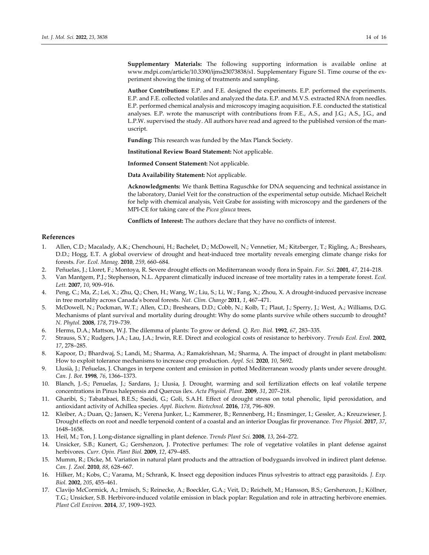**Supplementary Materials:** The following supporting information is available online at www.mdpi.com/article/10.3390/ijms23073838/s1. Supplementary Figure S1. Time course of the experiment showing the timing of treatments and sampling.

**Author Contributions:** E.P. and F.E. designed the experiments. E.P. performed the experiments. E.P. and F.E. collected volatiles and analyzed the data. E.P. and M.V.S. extracted RNA from needles. E.P. performed chemical analysis and microscopy imaging acquisition. F.E. conducted the statistical analyses. E.P. wrote the manuscript with contributions from F.E., A.S., and J.G.; A.S., J.G., and L.P.W. supervised the study. All authors have read and agreed to the published version of the manuscript.

**Funding:** This research was funded by the Max Planck Society.

**Institutional Review Board Statement:** Not applicable.

**Informed Consent Statement:** Not applicable.

**Data Availability Statement:** Not applicable.

**Acknowledgments:** We thank Bettina Raguschke for DNA sequencing and technical assistance in the laboratory, Daniel Veit for the construction of the experimental setup outside. Michael Reichelt for help with chemical analysis, Veit Grabe for assisting with microscopy and the gardeners of the MPI-CE for taking care of the *Picea glauca* trees**.**

**Conflicts of Interest:** The authors declare that they have no conflicts of interest.

#### **References**

- 1. Allen, C.D.; Macalady, A.K.; Chenchouni, H.; Bachelet, D.; McDowell, N.; Vennetier, M.; Kitzberger, T.; Rigling, A.; Breshears, D.D.; Hogg, E.T. A global overview of drought and heat-induced tree mortality reveals emerging climate change risks for forests. *For. Ecol. Manag.* **2010**, *259*, 660–684.
- 2. Peñuelas, J.; Lloret, F.; Montoya, R. Severe drought effects on Mediterranean woody flora in Spain. *For. Sci.* **2001**, *47*, 214–218.
- 3. Van Mantgem, P.J.; Stephenson, N.L. Apparent climatically induced increase of tree mortality rates in a temperate forest. *Ecol. Lett.* **2007**, *10*, 909–916.
- 4. Peng, C.; Ma, Z.; Lei, X.; Zhu, Q.; Chen, H.; Wang, W.; Liu, S.; Li, W.; Fang, X.; Zhou, X. A drought-induced pervasive increase in tree mortality across Canada's boreal forests. *Nat. Clim. Change* **2011**, *1*, 467–471.
- 5. McDowell, N.; Pockman, W.T.; Allen, C.D.; Breshears, D.D.; Cobb, N.; Kolb, T.; Plaut, J.; Sperry, J.; West, A.; Williams, D.G. Mechanisms of plant survival and mortality during drought: Why do some plants survive while others succumb to drought? *N. Phytol.* **2008**, *178*, 719–739.
- 6. Herms, D.A.; Mattson, W.J. The dilemma of plants: To grow or defend. *Q. Rev. Biol.* **1992**, *67*, 283–335.
- 7. Strauss, S.Y.; Rudgers, J.A.; Lau, J.A.; Irwin, R.E. Direct and ecological costs of resistance to herbivory. *Trends Ecol. Evol.* **2002**, *17*, 278–285.
- 8. Kapoor, D.; Bhardwaj, S.; Landi, M.; Sharma, A.; Ramakrishnan, M.; Sharma, A. The impact of drought in plant metabolism: How to exploit tolerance mechanisms to increase crop production. *Appl. Sci.* **2020**, *10*, 5692.
- 9. Llusià, J.; Peñuelas, J. Changes in terpene content and emission in potted Mediterranean woody plants under severe drought. *Can. J. Bot.* **1998**, *76*, 1366–1373.
- 10. Blanch, J.-S.; Penuelas, J.; Sardans, J.; Llusia, J. Drought, warming and soil fertilization effects on leaf volatile terpene concentrations in Pinus halepensis and Quercus ilex. *Acta Physiol. Plant.* **2009**, *31*, 207–218.
- 11. Gharibi, S.; Tabatabaei, B.E.S.; Saeidi, G.; Goli, S.A.H. Effect of drought stress on total phenolic, lipid peroxidation, and antioxidant activity of Achillea species. *Appl. Biochem. Biotechnol.* **2016**, *178*, 796–809.
- 12. Kleiber, A.; Duan, Q.; Jansen, K.; Verena Junker, L.; Kammerer, B.; Rennenberg, H.; Ensminger, I.; Gessler, A.; Kreuzwieser, J. Drought effects on root and needle terpenoid content of a coastal and an interior Douglas fir provenance. *Tree Physiol.* **2017**, *37*, 1648–1658.
- 13. Heil, M.; Ton, J. Long-distance signalling in plant defence. *Trends Plant Sci.* **2008**, *13*, 264–272.
- 14. Unsicker, S.B.; Kunert, G.; Gershenzon, J. Protective perfumes: The role of vegetative volatiles in plant defense against herbivores. *Curr. Opin. Plant Biol.* **2009**, *12*, 479–485.
- 15. Mumm, R.; Dicke, M. Variation in natural plant products and the attraction of bodyguards involved in indirect plant defense. *Can. J. Zool.* **2010**, *88*, 628–667.
- 16. Hilker, M.; Kobs, C.; Varama, M.; Schrank, K. Insect egg deposition induces Pinus sylvestris to attract egg parasitoids. *J. Exp. Biol.* **2002**, *205*, 455–461.
- 17. Clavijo McCormick, A.; Irmisch, S.; Reinecke, A.; Boeckler, G.A.; Veit, D.; Reichelt, M.; Hansson, B.S.; Gershenzon, J.; Köllner, T.G.; Unsicker, S.B. Herbivore-induced volatile emission in black poplar: Regulation and role in attracting herbivore enemies. *Plant Cell Environ.* **2014**, *37*, 1909–1923.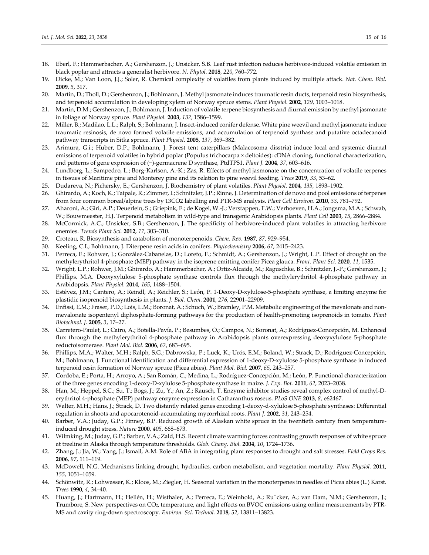- 18. Eberl, F.; Hammerbacher, A.; Gershenzon, J.; Unsicker, S.B. Leaf rust infection reduces herbivore-induced volatile emission in black poplar and attracts a generalist herbivore. *N. Phytol.* **2018**, *220*, 760–772.
- 19. Dicke, M.; Van Loon, J.J.; Soler, R. Chemical complexity of volatiles from plants induced by multiple attack. *Nat. Chem. Biol.*  **2009**, *5*, 317.
- 20. Martin, D.; Tholl, D.; Gershenzon, J.; Bohlmann, J. Methyl jasmonate induces traumatic resin ducts, terpenoid resin biosynthesis, and terpenoid accumulation in developing xylem of Norway spruce stems. *Plant Physiol.* **2002**, *129*, 1003–1018.
- 21. Martin, D.M.; Gershenzon, J.; Bohlmann, J. Induction of volatile terpene biosynthesis and diurnal emission by methyl jasmonate in foliage of Norway spruce. *Plant Physiol.* **2003**, *132*, 1586–1599.
- 22. Miller, B.; Madilao, L.L.; Ralph, S.; Bohlmann, J. Insect-induced conifer defense. White pine weevil and methyl jasmonate induce traumatic resinosis, de novo formed volatile emissions, and accumulation of terpenoid synthase and putative octadecanoid pathway transcripts in Sitka spruce. *Plant Physiol.* **2005**, *137*, 369–382.
- 23. Arimura, G.i.; Huber, D.P.; Bohlmann, J. Forest tent caterpillars (Malacosoma disstria) induce local and systemic diurnal emissions of terpenoid volatiles in hybrid poplar (Populus trichocarpa × deltoides): cDNA cloning, functional characterization, and patterns of gene expression of (−)-germacrene D synthase, PtdTPS1. *Plant J.* **2004**, *37*, 603–616.
- 24. Lundborg, L.; Sampedro, L.; Borg-Karlson, A.-K.; Zas, R. Effects of methyl jasmonate on the concentration of volatile terpenes in tissues of Maritime pine and Monterey pine and its relation to pine weevil feeding. *Trees* **2019**, *33*, 53–62.
- 25. Dudareva, N.; Pichersky, E.; Gershenzon, J. Biochemistry of plant volatiles. *Plant Physiol.* **2004**, *135*, 1893–1902.
- 26. Ghirardo, A.; Koch, K.; Taipale, R.; Zimmer, I.; Schnitzler, J.P.; Rinne, J. Determination of de novo and pool emissions of terpenes from four common boreal/alpine trees by 13CO2 labelling and PTR-MS analysis. *Plant Cell Environ.* **2010**, *33*, 781–792.
- 27. Aharoni, A.; Giri, A.P.; Deuerlein, S.; Griepink, F.; de Kogel, W.-J.; Verstappen, F.W.; Verhoeven, H.A.; Jongsma, M.A.; Schwab, W.; Bouwmeester, H.J. Terpenoid metabolism in wild-type and transgenic Arabidopsis plants. *Plant Cell* **2003**, *15*, 2866–2884.
- 28. McCormick, A.C.; Unsicker, S.B.; Gershenzon, J. The specificity of herbivore-induced plant volatiles in attracting herbivore enemies. *Trends Plant Sci.* **2012**, *17*, 303–310.
- 29. Croteau, R. Biosynthesis and catabolism of monoterpenoids. *Chem. Rev.* **1987**, *87*, 929–954.
- 30. Keeling, C.I.; Bohlmann, J. Diterpene resin acids in conifers. *Phytochemistry* **2006**, *67*, 2415–2423.
- 31. Perreca, E.; Rohwer, J.; González-Cabanelas, D.; Loreto, F.; Schmidt, A.; Gershenzon, J.; Wright, L.P. Effect of drought on the methylerythritol 4-phosphate (MEP) pathway in the isoprene emitting conifer Picea glauca. *Front. Plant Sci.* **2020**, *11*, 1535.
- 32. Wright, L.P.; Rohwer, J.M.; Ghirardo, A.; Hammerbacher, A.; Ortiz-Alcaide, M.; Raguschke, B.; Schnitzler, J.-P.; Gershenzon, J.; Phillips, M.A. Deoxyxylulose 5-phosphate synthase controls flux through the methylerythritol 4-phosphate pathway in Arabidopsis. *Plant Physiol.* **2014**, *165*, 1488–1504.
- 33. Estévez, J.M.; Cantero, A.; Reindl, A.; Reichler, S.; León, P. 1-Deoxy-D-xylulose-5-phosphate synthase, a limiting enzyme for plastidic isoprenoid biosynthesis in plants. *J. Biol. Chem.* **2001**, *276*, 22901–22909.
- 34. Enfissi, E.M.; Fraser, P.D.; Lois, L.M.; Boronat, A.; Schuch, W.; Bramley, P.M. Metabolic engineering of the mevalonate and nonmevalonate isopentenyl diphosphate-forming pathways for the production of health-promoting isoprenoids in tomato. *Plant Biotechnol. J.* **2005**, *3*, 17–27.
- 35. Carretero-Paulet, L.; Cairo, A.; Botella-Pavía, P.; Besumbes, O.; Campos, N.; Boronat, A.; Rodríguez-Concepción, M. Enhanced flux through the methylerythritol 4-phosphate pathway in Arabidopsis plants overexpressing deoxyxylulose 5-phosphate reductoisomerase. *Plant Mol. Biol.* **2006**, *62*, 683–695.
- 36. Phillips, M.A.; Walter, M.H.; Ralph, S.G.; Dabrowska, P.; Luck, K.; Urós, E.M.; Boland, W.; Strack, D.; Rodríguez-Concepción, M.; Bohlmann, J. Functional identification and differential expression of 1-deoxy-D-xylulose 5-phosphate synthase in induced terpenoid resin formation of Norway spruce (Picea abies). *Plant Mol. Biol.* **2007**, *65*, 243–257.
- 37. Cordoba, E.; Porta, H.; Arroyo, A.; San Román, C.; Medina, L.; Rodríguez-Concepción, M.; León, P. Functional characterization of the three genes encoding 1-deoxy-D-xylulose 5-phosphate synthase in maize. *J. Exp. Bot.* **2011**, *62*, 2023–2038.
- 38. Han, M.; Heppel, S.C.; Su, T.; Bogs, J.; Zu, Y.; An, Z.; Rausch, T. Enzyme inhibitor studies reveal complex control of methyl-Derythritol 4-phosphate (MEP) pathway enzyme expression in Catharanthus roseus. *PLoS ONE* **2013**, *8*, e62467.
- 39. Walter, M.H.; Hans, J.; Strack, D. Two distantly related genes encoding 1-deoxy-d-xylulose 5-phosphate synthases: Differential regulation in shoots and apocarotenoid-accumulating mycorrhizal roots. *Plant J.* **2002**, *31*, 243–254.
- 40. Barber, V.A.; Juday, G.P.; Finney, B.P. Reduced growth of Alaskan white spruce in the twentieth century from temperatureinduced drought stress. *Nature* **2000**, *405*, 668–673.
- 41. Wilmking, M.; Juday, G.P.; Barber, V.A.; Zald, H.S. Recent climate warming forces contrasting growth responses of white spruce at treeline in Alaska through temperature thresholds. *Glob. Chang. Biol.* **2004**, *10*, 1724–1736.
- 42. Zhang, J.; Jia, W.; Yang, J.; Ismail, A.M. Role of ABA in integrating plant responses to drought and salt stresses. *Field Crops Res.*  **2006**, *97*, 111–119.
- 43. McDowell, N.G. Mechanisms linking drought, hydraulics, carbon metabolism, and vegetation mortality. *Plant Physiol.* **2011**, *155*, 1051–1059.
- 44. Schönwitz, R.; Lohwasser, K.; Kloos, M.; Ziegler, H. Seasonal variation in the monoterpenes in needles of Picea abies (L.) Karst. *Trees* **1990**, *4*, 34–40.
- 45. Huang, J.; Hartmann, H.; Hellén, H.; Wisthaler, A.; Perreca, E.; Weinhold, A.; Rücker, A.; van Dam, N.M.; Gershenzon, J.; Trumbore, S. New perspectives on CO2, temperature, and light effects on BVOC emissions using online measurements by PTR-MS and cavity ring-down spectroscopy. *Environ. Sci. Technol.* **2018**, *52*, 13811–13823.